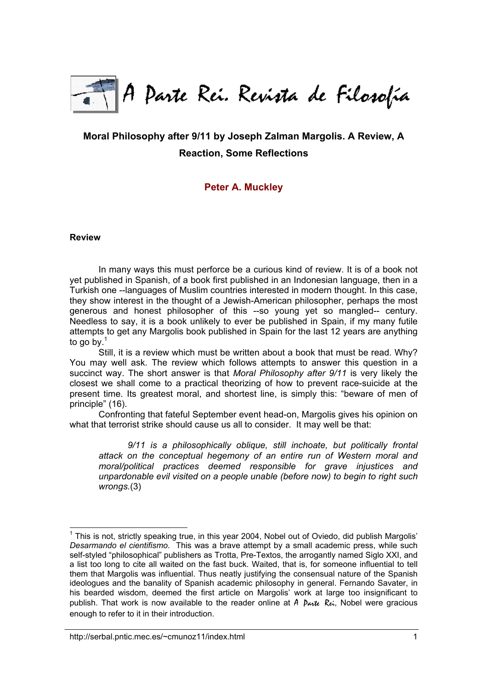

# **Moral Philosophy after 9/11 by Joseph Zalman Margolis. A Review, A Reaction, Some Reflections**

# **[Peter A. Muckley](http://serbal.pntic.mec.es/~cmunoz11/fuks.html#Muckley)**

#### **Review**

In many ways this must perforce be a curious kind of review. It is of a book not yet published in Spanish, of a book first published in an Indonesian language, then in a Turkish one --languages of Muslim countries interested in modern thought. In this case, they show interest in the thought of a Jewish-American philosopher, perhaps the most generous and honest philosopher of this --so young yet so mangled-- century. Needless to say, it is a book unlikely to ever be published in Spain, if my many futile attempts to get any Margolis book published in Spain for the last 12 years are anything to go by. $1$ 

Still, it is a review which must be written about a book that must be read. Why? You may well ask. The review which follows attempts to answer this question in a succinct way. The short answer is that *Moral Philosophy after 9/11* is very likely the closest we shall come to a practical theorizing of how to prevent race-suicide at the present time. Its greatest moral, and shortest line, is simply this: "beware of men of principle" (16).

Confronting that fateful September event head-on, Margolis gives his opinion on what that terrorist strike should cause us all to consider. It may well be that:

*9/11 is a philosophically oblique, still inchoate, but politically frontal attack on the conceptual hegemony of an entire run of Western moral and moral/political practices deemed responsible for grave injustices and unpardonable evil visited on a people unable (before now) to begin to right such wrongs.*(3)

<span id="page-0-0"></span>l  $1$  This is not, strictly speaking true, in this year 2004, Nobel out of Oviedo, did publish Margolis' *Desarmando el cientifismo*. This was a brave attempt by a small academic press, while such self-styled "philosophical" publishers as Trotta, Pre-Textos, the arrogantly named Siglo XXI, and a list too long to cite all waited on the fast buck. Waited, that is, for someone influential to tell them that Margolis was influential. Thus neatly justifying the consensual nature of the Spanish ideologues and the banality of Spanish academic philosophy in general. Fernando Savater, in his bearded wisdom, deemed the first article on Margolis' work at large too insignificant to publish. That work is now available to the reader online at  $\hat{A}$   $\hat{P}_{\alpha\gamma}\hat{I}\hat{I}\hat{I}$  are gracious enough to refer to it in their introduction.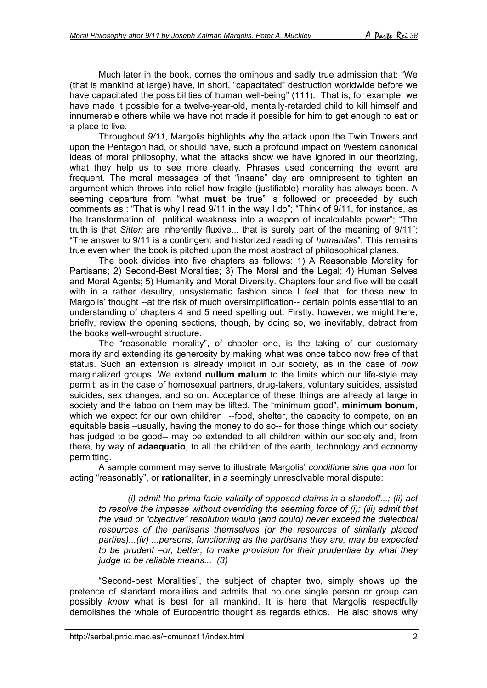Much later in the book, comes the ominous and sadly true admission that: "We (that is mankind at large) have, in short, "capacitated" destruction worldwide before we have capacitated the possibilities of human well-being" (111). That is, for example, we have made it possible for a twelve-year-old, mentally-retarded child to kill himself and innumerable others while we have not made it possible for him to get enough to eat or a place to live.

Throughout *9/11*, Margolis highlights why the attack upon the Twin Towers and upon the Pentagon had, or should have, such a profound impact on Western canonical ideas of moral philosophy, what the attacks show we have ignored in our theorizing, what they help us to see more clearly. Phrases used concerning the event are frequent. The moral messages of that "insane" day are omnipresent to tighten an argument which throws into relief how fragile (justifiable) morality has always been. A seeming departure from "what **must** be true" is followed or preceeded by such comments as : "That is why I read 9/11 in the way I do"; "Think of 9/11, for instance, as the transformation of political weakness into a weapon of incalculable power"; "The truth is that *Sitten* are inherently fluxive... that is surely part of the meaning of 9/11"; "The answer to 9/11 is a contingent and historized reading of *humanitas*". This remains true even when the book is pitched upon the most abstract of philosophical planes.

The book divides into five chapters as follows: 1) A Reasonable Morality for Partisans; 2) Second-Best Moralities; 3) The Moral and the Legal; 4) Human Selves and Moral Agents; 5) Humanity and Moral Diversity. Chapters four and five will be dealt with in a rather desultry, unsystematic fashion since I feel that, for those new to Margolis' thought --at the risk of much oversimplification-- certain points essential to an understanding of chapters 4 and 5 need spelling out. Firstly, however, we might here, briefly, review the opening sections, though, by doing so, we inevitably, detract from the books well-wrought structure.

The "reasonable morality", of chapter one, is the taking of our customary morality and extending its generosity by making what was once taboo now free of that status. Such an extension is already implicit in our society, as in the case of *now* marginalized groups. We extend **nullum malum** to the limits which our life-style may permit: as in the case of homosexual partners, drug-takers, voluntary suicides, assisted suicides, sex changes, and so on. Acceptance of these things are already at large in society and the taboo on them may be lifted. The "minimum good", **minimum bonum**, which we expect for our own children --food, shelter, the capacity to compete, on an equitable basis –usually, having the money to do so-- for those things which our society has judged to be good-- may be extended to all children within our society and, from there, by way of **adaequatio**, to all the children of the earth, technology and economy permitting.

A sample comment may serve to illustrate Margolis' *conditione sine qua non* for acting "reasonably", or **rationaliter**, in a seemingly unresolvable moral dispute:

*(i) admit the prima facie validity of opposed claims in a standoff...; (ii) act to resolve the impasse without overriding the seeming force of (i); (iii) admit that the valid or "objective" resolution would (and could) never exceed the dialectical resources of the partisans themselves (or the resources of similarly placed parties)...(iv) ...persons, functioning as the partisans they are, may be expected to be prudent –or, better, to make provision for their prudentiae by what they judge to be reliable means... (3)*

"Second-best Moralities", the subject of chapter two, simply shows up the pretence of standard moralities and admits that no one single person or group can possibly *know* what is best for all mankind. It is here that Margolis respectfully demolishes the whole of Eurocentric thought as regards ethics. He also shows why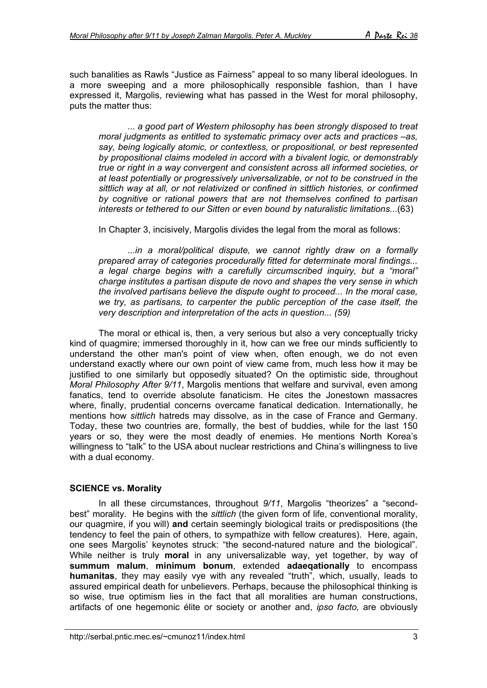such banalities as Rawls "Justice as Fairness" appeal to so many liberal ideologues. In a more sweeping and a more philosophically responsible fashion, than I have expressed it, Margolis, reviewing what has passed in the West for moral philosophy, puts the matter thus:

*... a good part of Western philosophy has been strongly disposed to treat moral judgments as entitled to systematic primacy over acts and practices –as, say, being logically atomic, or contextless, or propositional, or best represented by propositional claims modeled in accord with a bivalent logic, or demonstrably true or right in a way convergent and consistent across all informed societies, or at least potentially or progressively universalizable, or not to be construed in the sittlich way at all, or not relativized or confined in sittlich histories, or confirmed by cognitive or rational powers that are not themselves confined to partisan interests or tethered to our Sitten or even bound by naturalistic limitations...*(63)

In Chapter 3, incisively, Margolis divides the legal from the moral as follows:

*...in a moral/political dispute, we cannot rightly draw on a formally prepared array of categories procedurally fitted for determinate moral findings... a legal charge begins with a carefully circumscribed inquiry, but a "moral" charge institutes a partisan dispute de novo and shapes the very sense in which the involved partisans believe the dispute ought to proceed... In the moral case, we try, as partisans, to carpenter the public perception of the case itself, the very description and interpretation of the acts in question... (59)*

The moral or ethical is, then, a very serious but also a very conceptually tricky kind of quagmire; immersed thoroughly in it, how can we free our minds sufficiently to understand the other man's point of view when, often enough, we do not even understand exactly where our own point of view came from, much less how it may be justified to one similarly but opposedly situated? On the optimistic side, throughout *Moral Philosophy After 9/11*, Margolis mentions that welfare and survival, even among fanatics, tend to override absolute fanaticism. He cites the Jonestown massacres where, finally, prudential concerns overcame fanatical dedication. Internationally, he mentions how *sittlich* hatreds may dissolve, as in the case of France and Germany. Today, these two countries are, formally, the best of buddies, while for the last 150 years or so, they were the most deadly of enemies. He mentions North Korea's willingness to "talk" to the USA about nuclear restrictions and China's willingness to live with a dual economy.

#### **SCIENCE vs. Morality**

In all these circumstances, throughout *9/11*, Margolis "theorizes" a "secondbest" morality. He begins with the *sittlich* (the given form of life, conventional morality, our quagmire, if you will) **and** certain seemingly biological traits or predispositions (the tendency to feel the pain of others, to sympathize with fellow creatures). Here, again, one sees Margolis' keynotes struck: "the second-natured nature and the biological". While neither is truly **moral** in any universalizable way, yet together, by way of **summum malum**, **minimum bonum**, extended **adaeqationally** to encompass **humanitas**, they may easily vye with any revealed "truth", which, usually, leads to assured empirical death for unbelievers. Perhaps, because the philosophical thinking is so wise, true optimism lies in the fact that all moralities are human constructions, artifacts of one hegemonic élite or society or another and, *ipso facto,* are obviously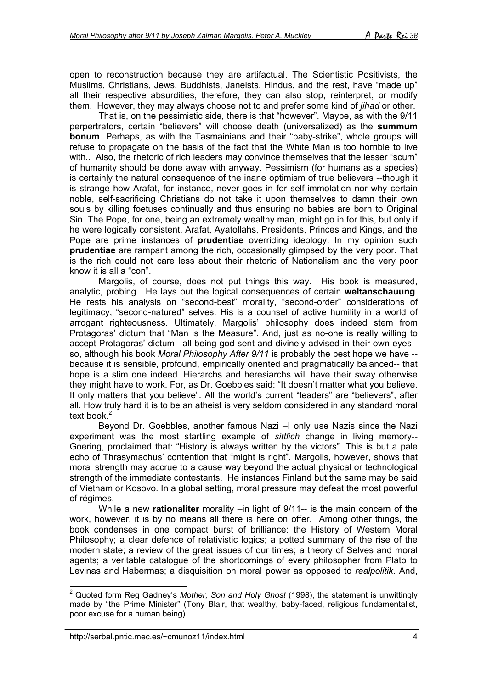open to reconstruction because they are artifactual. The Scientistic Positivists, the Muslims, Christians, Jews, Buddhists, Janeists, Hindus, and the rest, have "made up" all their respective absurdities, therefore, they can also stop, reinterpret, or modify them. However, they may always choose not to and prefer some kind of *jihad* or other.

That is, on the pessimistic side, there is that "however". Maybe, as with the 9/11 perpertrators, certain "believers" will choose death (universalized) as the **summum bonum**. Perhaps, as with the Tasmainians and their "baby-strike", whole groups will refuse to propagate on the basis of the fact that the White Man is too horrible to live with.. Also, the rhetoric of rich leaders may convince themselves that the lesser "scum" of humanity should be done away with anyway. Pessimism (for humans as a species) is certainly the natural consequence of the inane optimism of true believers --though it is strange how Arafat, for instance, never goes in for self-immolation nor why certain noble, self-sacrificing Christians do not take it upon themselves to damn their own souls by killing foetuses continually and thus ensuring no babies are born to Original Sin. The Pope, for one, being an extremely wealthy man, might go in for this, but only if he were logically consistent. Arafat, Ayatollahs, Presidents, Princes and Kings, and the Pope are prime instances of **prudentiae** overriding ideology. In my opinion such **prudentiae** are rampant among the rich, occasionally glimpsed by the very poor. That is the rich could not care less about their rhetoric of Nationalism and the very poor know it is all a "con".

Margolis, of course, does not put things this way. His book is measured, analytic, probing. He lays out the logical consequences of certain **weltanschauung**. He rests his analysis on "second-best" morality, "second-order" considerations of legitimacy, "second-natured" selves. His is a counsel of active humility in a world of arrogant righteousness. Ultimately, Margolis' philosophy does indeed stem from Protagoras' dictum that "Man is the Measure". And, just as no-one is really willing to accept Protagoras' dictum –all being god-sent and divinely advised in their own eyes- so, although his book *Moral Philosophy After 9/11* is probably the best hope we have - because it is sensible, profound, empirically oriented and pragmatically balanced-- that hope is a slim one indeed. Hierarchs and heresiarchs will have their sway otherwise they might have to work. For, as Dr. Goebbles said: "It doesn't matter what you believe. It only matters that you believe". All the world's current "leaders" are "believers", after all. How truly hard it is to be an atheist is very seldom considered in any standard moral text book.<sup>[2](#page-3-0)</sup>

Beyond Dr. Goebbles, another famous Nazi –I only use Nazis since the Nazi experiment was the most startling example of *sittlich* change in living memory-- Goering, proclaimed that: "History is always written by the victors". This is but a pale echo of Thrasymachus' contention that "might is right". Margolis, however, shows that moral strength may accrue to a cause way beyond the actual physical or technological strength of the immediate contestants. He instances Finland but the same may be said of Vietnam or Kosovo. In a global setting, moral pressure may defeat the most powerful of régimes.

While a new **rationaliter** morality –in light of 9/11-- is the main concern of the work, however, it is by no means all there is here on offer. Among other things, the book condenses in one compact burst of brilliance: the History of Western Moral Philosophy; a clear defence of relativistic logics; a potted summary of the rise of the modern state; a review of the great issues of our times; a theory of Selves and moral agents; a veritable catalogue of the shortcomings of every philosopher from Plato to Levinas and Habermas; a disquisition on moral power as opposed to *realpolitik*. And,

<span id="page-3-0"></span> 2 Quoted form Reg Gadney's *Mother, Son and Holy Ghost* (1998), the statement is unwittingly made by "the Prime Minister" (Tony Blair, that wealthy, baby-faced, religious fundamentalist, poor excuse for a human being).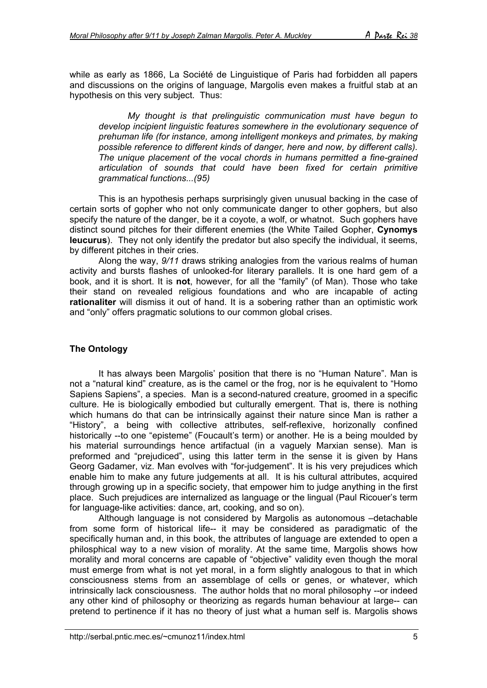while as early as 1866, La Société de Linguistique of Paris had forbidden all papers and discussions on the origins of language, Margolis even makes a fruitful stab at an hypothesis on this very subject. Thus:

*My thought is that prelinguistic communication must have begun to develop incipient linguistic features somewhere in the evolutionary sequence of prehuman life (for instance, among intelligent monkeys and primates, by making possible reference to different kinds of danger, here and now, by different calls). The unique placement of the vocal chords in humans permitted a fine-grained articulation of sounds that could have been fixed for certain primitive grammatical functions...(95)*

This is an hypothesis perhaps surprisingly given unusual backing in the case of certain sorts of gopher who not only communicate danger to other gophers, but also specify the nature of the danger, be it a coyote, a wolf, or whatnot. Such gophers have distinct sound pitches for their different enemies (the White Tailed Gopher, **Cynomys leucurus**). They not only identify the predator but also specify the individual, it seems, by different pitches in their cries.

Along the way, *9/11* draws striking analogies from the various realms of human activity and bursts flashes of unlooked-for literary parallels. It is one hard gem of a book, and it is short. It is **not**, however, for all the "family" (of Man). Those who take their stand on revealed religious foundations and who are incapable of acting **rationaliter** will dismiss it out of hand. It is a sobering rather than an optimistic work and "only" offers pragmatic solutions to our common global crises.

### **The Ontology**

It has always been Margolis' position that there is no "Human Nature". Man is not a "natural kind" creature, as is the camel or the frog, nor is he equivalent to "Homo Sapiens Sapiens", a species. Man is a second-natured creature, groomed in a specific culture. He is biologically embodied but culturally emergent. That is, there is nothing which humans do that can be intrinsically against their nature since Man is rather a "History", a being with collective attributes, self-reflexive, horizonally confined historically --to one "episteme" (Foucault's term) or another. He is a being moulded by his material surroundings hence artifactual (in a vaguely Marxian sense). Man is preformed and "prejudiced", using this latter term in the sense it is given by Hans Georg Gadamer, viz. Man evolves with "for-judgement". It is his very prejudices which enable him to make any future judgements at all. It is his cultural attributes, acquired through growing up in a specific society, that empower him to judge anything in the first place. Such prejudices are internalized as language or the lingual (Paul Ricouer's term for language-like activities: dance, art, cooking, and so on).

Although language is not considered by Margolis as autonomous –detachable from some form of historical life-- it may be considered as paradigmatic of the specifically human and, in this book, the attributes of language are extended to open a philosphical way to a new vision of morality. At the same time, Margolis shows how morality and moral concerns are capable of "objective" validity even though the moral must emerge from what is not yet moral, in a form slightly analogous to that in which consciousness stems from an assemblage of cells or genes, or whatever, which intrinsically lack consciousness. The author holds that no moral philosophy --or indeed any other kind of philosophy or theorizing as regards human behaviour at large-- can pretend to pertinence if it has no theory of just what a human self is. Margolis shows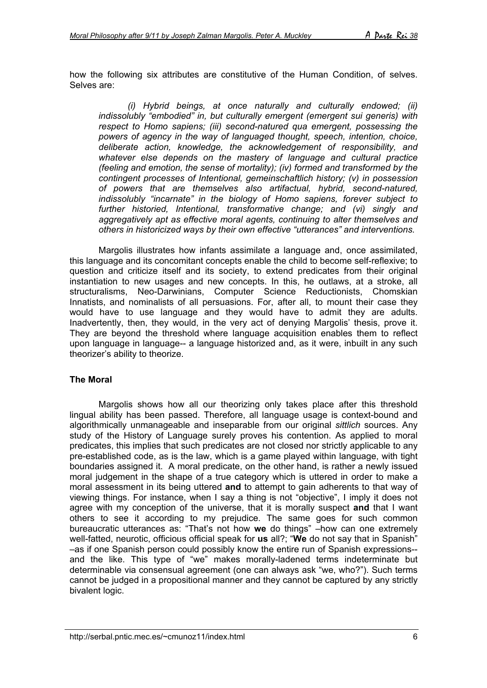how the following six attributes are constitutive of the Human Condition, of selves. Selves are:

*(i) Hybrid beings, at once naturally and culturally endowed; (ii) indissolubly "embodied" in, but culturally emergent (emergent sui generis) with respect to Homo sapiens; (iii) second-natured qua emergent, possessing the powers of agency in the way of languaged thought, speech, intention, choice, deliberate action, knowledge, the acknowledgement of responsibility, and whatever else depends on the mastery of language and cultural practice (feeling and emotion, the sense of mortality); (iv) formed and transformed by the contingent processes of Intentional, gemeinschaftlich history; (v) in possession of powers that are themselves also artifactual, hybrid, second-natured, indissolubly "incarnate" in the biology of Homo sapiens, forever subject to further historied, Intentional, transformative change; and (vi) singly and aggregatively apt as effective moral agents, continuing to alter themselves and others in historicized ways by their own effective "utterances" and interventions.*

Margolis illustrates how infants assimilate a language and, once assimilated, this language and its concomitant concepts enable the child to become self-reflexive; to question and criticize itself and its society, to extend predicates from their original instantiation to new usages and new concepts. In this, he outlaws, at a stroke, all structuralisms, Neo-Darwinians, Computer Science Reductionists, Chomskian Innatists, and nominalists of all persuasions. For, after all, to mount their case they would have to use language and they would have to admit they are adults. Inadvertently, then, they would, in the very act of denying Margolis' thesis, prove it. They are beyond the threshold where language acquisition enables them to reflect upon language in language-- a language historized and, as it were, inbuilt in any such theorizer's ability to theorize.

#### **The Moral**

Margolis shows how all our theorizing only takes place after this threshold lingual ability has been passed. Therefore, all language usage is context-bound and algorithmically unmanageable and inseparable from our original *sittlich* sources. Any study of the History of Language surely proves his contention. As applied to moral predicates, this implies that such predicates are not closed nor strictly applicable to any pre-established code, as is the law, which is a game played within language, with tight boundaries assigned it. A moral predicate, on the other hand, is rather a newly issued moral judgement in the shape of a true category which is uttered in order to make a moral assessment in its being uttered **and** to attempt to gain adherents to that way of viewing things. For instance, when I say a thing is not "objective", I imply it does not agree with my conception of the universe, that it is morally suspect **and** that I want others to see it according to my prejudice. The same goes for such common bureaucratic utterances as: "That's not how **we** do things" –how can one extremely well-fatted, neurotic, officious official speak for **us** all?; "**We** do not say that in Spanish" –as if one Spanish person could possibly know the entire run of Spanish expressions- and the like. This type of "we" makes morally-ladened terms indeterminate but determinable via consensual agreement (one can always ask "we, who?"). Such terms cannot be judged in a propositional manner and they cannot be captured by any strictly bivalent logic.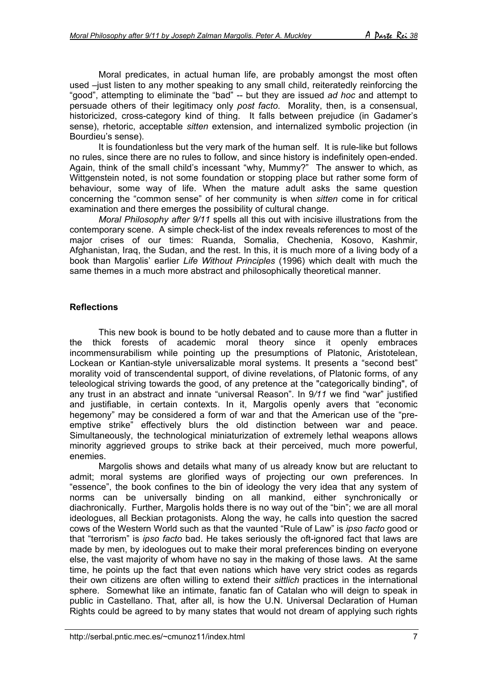Moral predicates, in actual human life, are probably amongst the most often used –just listen to any mother speaking to any small child, reiteratedly reinforcing the "good", attempting to eliminate the "bad" -- but they are issued *ad hoc* and attempt to persuade others of their legitimacy only *post facto*. Morality, then, is a consensual, historicized, cross-category kind of thing. It falls between prejudice (in Gadamer's sense), rhetoric, acceptable *sitten* extension, and internalized symbolic projection (in Bourdieu's sense).

It is foundationless but the very mark of the human self. It is rule-like but follows no rules, since there are no rules to follow, and since history is indefinitely open-ended. Again, think of the small child's incessant "why, Mummy?" The answer to which, as Wittgenstein noted, is not some foundation or stopping place but rather some form of behaviour, some way of life. When the mature adult asks the same question concerning the "common sense" of her community is when *sitten* come in for critical examination and there emerges the possibility of cultural change.

*Moral Philosophy after 9/11* spells all this out with incisive illustrations from the contemporary scene. A simple check-list of the index reveals references to most of the major crises of our times: Ruanda, Somalia, Chechenia, Kosovo, Kashmir, Afghanistan, Iraq, the Sudan, and the rest. In this, it is much more of a living body of a book than Margolis' earlier *Life Without Principles* (1996) which dealt with much the same themes in a much more abstract and philosophically theoretical manner.

## **Reflections**

This new book is bound to be hotly debated and to cause more than a flutter in the thick forests of academic moral theory since it openly embraces incommensurabilism while pointing up the presumptions of Platonic, Aristotelean, Lockean or Kantian-style universalizable moral systems. It presents a "second best" morality void of transcendental support, of divine revelations, of Platonic forms, of any teleological striving towards the good, of any pretence at the "categorically binding", of any trust in an abstract and innate "universal Reason". In 9*/11* we find "war" justified and justifiable, in certain contexts. In it, Margolis openly avers that "economic hegemony" may be considered a form of war and that the American use of the "preemptive strike" effectively blurs the old distinction between war and peace. Simultaneously, the technological miniaturization of extremely lethal weapons allows minority aggrieved groups to strike back at their perceived, much more powerful, enemies.

Margolis shows and details what many of us already know but are reluctant to admit; moral systems are glorified ways of projecting our own preferences. In "essence", the book confines to the bin of ideology the very idea that any system of norms can be universally binding on all mankind, either synchronically or diachronically. Further, Margolis holds there is no way out of the "bin"; we are all moral ideologues, all Beckian protagonists. Along the way, he calls into question the sacred cows of the Western World such as that the vaunted "Rule of Law" is *ipso facto* good or that "terrorism" is *ipso facto* bad. He takes seriously the oft-ignored fact that laws are made by men, by ideologues out to make their moral preferences binding on everyone else, the vast majority of whom have no say in the making of those laws. At the same time, he points up the fact that even nations which have very strict codes as regards their own citizens are often willing to extend their *sittlich* practices in the international sphere. Somewhat like an intimate, fanatic fan of Catalan who will deign to speak in public in Castellano. That, after all, is how the U.N. Universal Declaration of Human Rights could be agreed to by many states that would not dream of applying such rights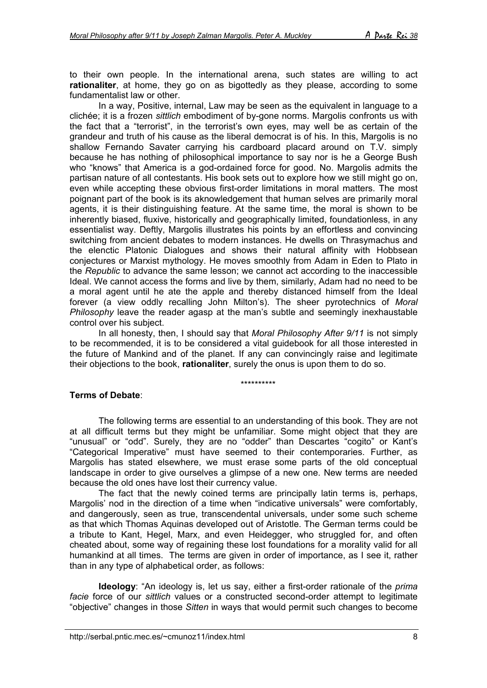to their own people. In the international arena, such states are willing to act **rationaliter**, at home, they go on as bigottedly as they please, according to some fundamentalist law or other.

In a way, Positive, internal, Law may be seen as the equivalent in language to a clichée; it is a frozen *sittlich* embodiment of by-gone norms. Margolis confronts us with the fact that a "terrorist", in the terrorist's own eyes, may well be as certain of the grandeur and truth of his cause as the liberal democrat is of his. In this, Margolis is no shallow Fernando Savater carrying his cardboard placard around on T.V. simply because he has nothing of philosophical importance to say nor is he a George Bush who "knows" that America is a god-ordained force for good. No. Margolis admits the partisan nature of all contestants. His book sets out to explore how we still might go on, even while accepting these obvious first-order limitations in moral matters. The most poignant part of the book is its aknowledgement that human selves are primarily moral agents, it is their distinguishing feature. At the same time, the moral is shown to be inherently biased, fluxive, historically and geographically limited, foundationless, in any essentialist way. Deftly, Margolis illustrates his points by an effortless and convincing switching from ancient debates to modern instances. He dwells on Thrasymachus and the elenctic Platonic Dialogues and shows their natural affinity with Hobbsean conjectures or Marxist mythology. He moves smoothly from Adam in Eden to Plato in the *Republic* to advance the same lesson; we cannot act according to the inaccessible Ideal. We cannot access the forms and live by them, similarly, Adam had no need to be a moral agent until he ate the apple and thereby distanced himself from the Ideal forever (a view oddly recalling John Milton's). The sheer pyrotechnics of *Moral Philosophy* leave the reader agasp at the man's subtle and seemingly inexhaustable control over his subject.

In all honesty, then, I should say that *Moral Philosophy After 9/11* is not simply to be recommended, it is to be considered a vital guidebook for all those interested in the future of Mankind and of the planet. If any can convincingly raise and legitimate their objections to the book, **rationaliter**, surely the onus is upon them to do so.

#### \*\*\*\*\*\*\*\*\*\*

#### **Terms of Debate**:

The following terms are essential to an understanding of this book. They are not at all difficult terms but they might be unfamiliar. Some might object that they are "unusual" or "odd". Surely, they are no "odder" than Descartes "cogito" or Kant's "Categorical Imperative" must have seemed to their contemporaries. Further, as Margolis has stated elsewhere, we must erase some parts of the old conceptual landscape in order to give ourselves a glimpse of a new one. New terms are needed because the old ones have lost their currency value.

The fact that the newly coined terms are principally latin terms is, perhaps, Margolis' nod in the direction of a time when "indicative universals" were comfortably, and dangerously, seen as true, transcendental universals, under some such scheme as that which Thomas Aquinas developed out of Aristotle. The German terms could be a tribute to Kant, Hegel, Marx, and even Heidegger, who struggled for, and often cheated about, some way of regaining these lost foundations for a morality valid for all humankind at all times. The terms are given in order of importance, as I see it, rather than in any type of alphabetical order, as follows:

**Ideology**: "An ideology is, let us say, either a first-order rationale of the *prima facie* force of our *sittlich* values or a constructed second-order attempt to legitimate "objective" changes in those *Sitten* in ways that would permit such changes to become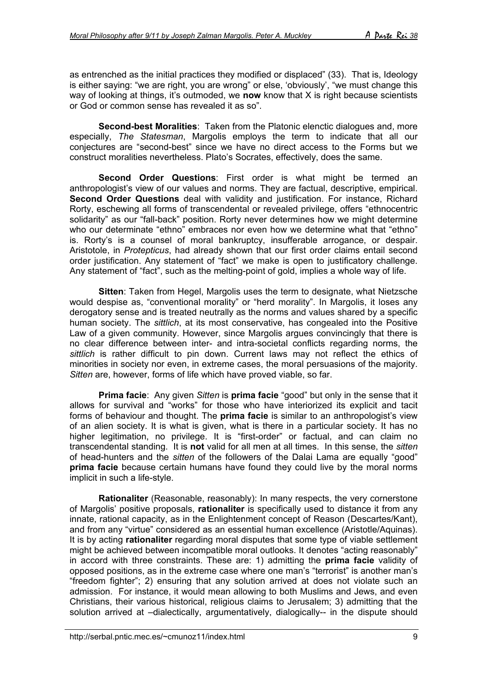as entrenched as the initial practices they modified or displaced" (33). That is, Ideology is either saying: "we are right, you are wrong" or else, 'obviously', "we must change this way of looking at things, it's outmoded, we **now** know that X is right because scientists or God or common sense has revealed it as so".

**Second-best Moralities**: Taken from the Platonic elenctic dialogues and, more especially, *The Statesman*, Margolis employs the term to indicate that all our conjectures are "second-best" since we have no direct access to the Forms but we construct moralities nevertheless. Plato's Socrates, effectively, does the same.

**Second Order Questions**: First order is what might be termed an anthropologist's view of our values and norms. They are factual, descriptive, empirical. **Second Order Questions** deal with validity and justification. For instance, Richard Rorty, eschewing all forms of transcendental or revealed privilege, offers "ethnocentric solidarity" as our "fall-back" position. Rorty never determines how we might determine who our determinate "ethno" embraces nor even how we determine what that "ethno" is. Rorty's is a counsel of moral bankruptcy, insufferable arrogance, or despair. Aristotole, in *Protepticus*, had already shown that our first order claims entail second order justification. Any statement of "fact" we make is open to justificatory challenge. Any statement of "fact", such as the melting-point of gold, implies a whole way of life.

**Sitten**: Taken from Hegel, Margolis uses the term to designate, what Nietzsche would despise as, "conventional morality" or "herd morality". In Margolis, it loses any derogatory sense and is treated neutrally as the norms and values shared by a specific human society. The *sittlich*, at its most conservative, has congealed into the Positive Law of a given community. However, since Margolis argues convincingly that there is no clear difference between inter- and intra-societal conflicts regarding norms, the *sittlich* is rather difficult to pin down. Current laws may not reflect the ethics of minorities in society nor even, in extreme cases, the moral persuasions of the majority. *Sitten* are, however, forms of life which have proved viable, so far.

**Prima facie**: Any given *Sitten* is **prima facie** "good" but only in the sense that it allows for survival and "works" for those who have interiorized its explicit and tacit forms of behaviour and thought. The **prima facie** is similar to an anthropologist's view of an alien society. It is what is given, what is there in a particular society. It has no higher legitimation, no privilege. It is "first-order" or factual, and can claim no transcendental standing. It is **not** valid for all men at all times. In this sense, the *sitten* of head-hunters and the *sitten* of the followers of the Dalai Lama are equally "good" **prima facie** because certain humans have found they could live by the moral norms implicit in such a life-style.

**Rationaliter** (Reasonable, reasonably): In many respects, the very cornerstone of Margolis' positive proposals, **rationaliter** is specifically used to distance it from any innate, rational capacity, as in the Enlightenment concept of Reason (Descartes/Kant), and from any "virtue" considered as an essential human excellence (Aristotle/Aquinas). It is by acting **rationaliter** regarding moral disputes that some type of viable settlement might be achieved between incompatible moral outlooks. It denotes "acting reasonably" in accord with three constraints. These are: 1) admitting the **prima facie** validity of opposed positions, as in the extreme case where one man's "terrorist" is another man's "freedom fighter"; 2) ensuring that any solution arrived at does not violate such an admission. For instance, it would mean allowing to both Muslims and Jews, and even Christians, their various historical, religious claims to Jerusalem; 3) admitting that the solution arrived at –dialectically, argumentatively, dialogically-- in the dispute should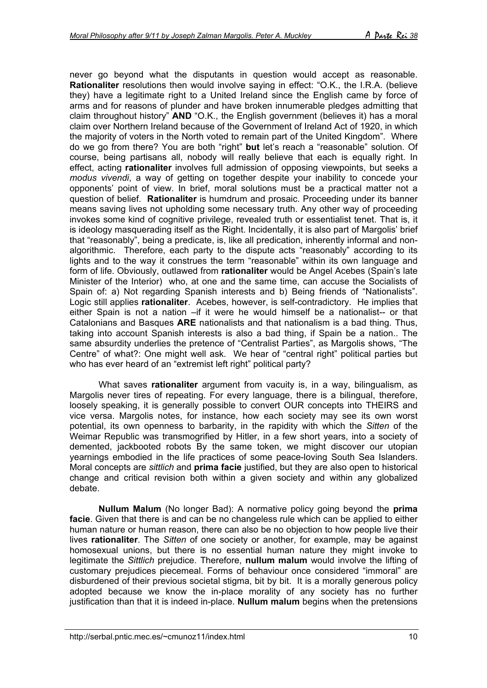never go beyond what the disputants in question would accept as reasonable. **Rationaliter** resolutions then would involve saying in effect: "O.K., the I.R.A. (believe they) have a legitimate right to a United Ireland since the English came by force of arms and for reasons of plunder and have broken innumerable pledges admitting that claim throughout history" **AND** "O.K., the English government (believes it) has a moral claim over Northern Ireland because of the Government of Ireland Act of 1920, in which the majority of voters in the North voted to remain part of the United Kingdom". Where do we go from there? You are both "right" **but** let's reach a "reasonable" solution. Of course, being partisans all, nobody will really believe that each is equally right. In effect, acting **rationaliter** involves full admission of opposing viewpoints, but seeks a *modus vivendi*, a way of getting on together despite your inability to concede your opponents' point of view. In brief, moral solutions must be a practical matter not a question of belief. **Rationaliter** is humdrum and prosaic. Proceeding under its banner means saving lives not upholding some necessary truth. Any other way of proceeding invokes some kind of cognitive privilege, revealed truth or essentialist tenet. That is, it is ideology masquerading itself as the Right. Incidentally, it is also part of Margolis' brief that "reasonably", being a predicate, is, like all predication, inherently informal and nonalgorithmic. Therefore, each party to the dispute acts "reasonably" according to its lights and to the way it construes the term "reasonable" within its own language and form of life. Obviously, outlawed from **rationaliter** would be Angel Acebes (Spain's late Minister of the Interior) who, at one and the same time, can accuse the Socialists of Spain of: a) Not regarding Spanish interests and b) Being friends of "Nationalists". Logic still applies **rationaliter**. Acebes, however, is self-contradictory. He implies that either Spain is not a nation –if it were he would himself be a nationalist-- or that Catalonians and Basques **ARE** nationalists and that nationalism is a bad thing. Thus, taking into account Spanish interests is also a bad thing, if Spain be a nation.. The same absurdity underlies the pretence of "Centralist Parties", as Margolis shows, "The Centre" of what?: One might well ask. We hear of "central right" political parties but who has ever heard of an "extremist left right" political party?

What saves **rationaliter** argument from vacuity is, in a way, bilingualism, as Margolis never tires of repeating. For every language, there is a bilingual, therefore, loosely speaking, it is generally possible to convert OUR concepts into THEIRS and vice versa. Margolis notes, for instance, how each society may see its own worst potential, its own openness to barbarity, in the rapidity with which the *Sitten* of the Weimar Republic was transmogrified by Hitler, in a few short years, into a society of demented, jackbooted robots By the same token, we might discover our utopian yearnings embodied in the life practices of some peace-loving South Sea Islanders. Moral concepts are *sittlich* and **prima facie** justified, but they are also open to historical change and critical revision both within a given society and within any globalized debate.

**Nullum Malum** (No longer Bad): A normative policy going beyond the **prima facie**. Given that there is and can be no changeless rule which can be applied to either human nature or human reason, there can also be no objection to how people live their lives **rationaliter**. The *Sitten* of one society or another, for example, may be against homosexual unions, but there is no essential human nature they might invoke to legitimate the *Sittlich* prejudice. Therefore, **nullum malum** would involve the lifting of customary prejudices piecemeal. Forms of behaviour once considered "immoral" are disburdened of their previous societal stigma, bit by bit. It is a morally generous policy adopted because we know the in-place morality of any society has no further justification than that it is indeed in-place. **Nullum malum** begins when the pretensions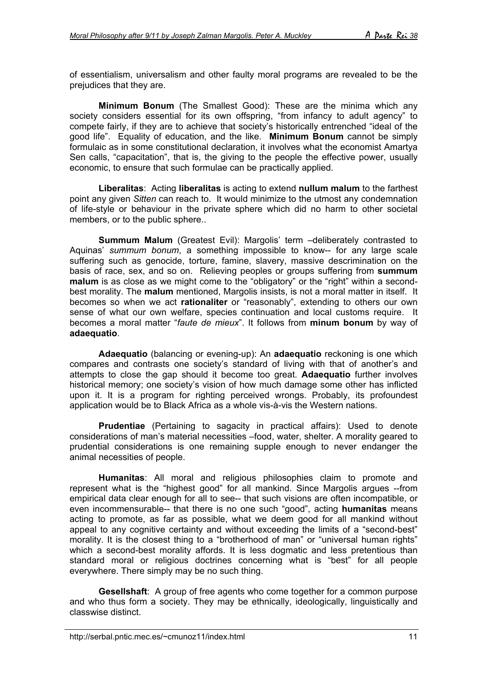of essentialism, universalism and other faulty moral programs are revealed to be the prejudices that they are.

**Minimum Bonum** (The Smallest Good): These are the minima which any society considers essential for its own offspring, "from infancy to adult agency" to compete fairly, if they are to achieve that society's historically entrenched "ideal of the good life". Equality of education, and the like. **Minimum Bonum** cannot be simply formulaic as in some constitutional declaration, it involves what the economist Amartya Sen calls, "capacitation", that is, the giving to the people the effective power, usually economic, to ensure that such formulae can be practically applied.

**Liberalitas**: Acting **liberalitas** is acting to extend **nullum malum** to the farthest point any given *Sitten* can reach to. It would minimize to the utmost any condemnation of life-style or behaviour in the private sphere which did no harm to other societal members, or to the public sphere..

**Summum Malum** (Greatest Evil): Margolis' term –deliberately contrasted to Aquinas' *summum bonum*, a something impossible to know-- for any large scale suffering such as genocide, torture, famine, slavery, massive descrimination on the basis of race, sex, and so on. Relieving peoples or groups suffering from **summum malum** is as close as we might come to the "obligatory" or the "right" within a secondbest morality. The **malum** mentioned, Margolis insists, is not a moral matter in itself. It becomes so when we act **rationaliter** or "reasonably", extending to others our own sense of what our own welfare, species continuation and local customs require. It becomes a moral matter "*faute de mieux*". It follows from **minum bonum** by way of **adaequatio**.

**Adaequatio** (balancing or evening-up): An **adaequatio** reckoning is one which compares and contrasts one society's standard of living with that of another's and attempts to close the gap should it become too great. **Adaequatio** further involves historical memory; one society's vision of how much damage some other has inflicted upon it. It is a program for righting perceived wrongs. Probably, its profoundest application would be to Black Africa as a whole vis-à-vis the Western nations.

**Prudentiae** (Pertaining to sagacity in practical affairs): Used to denote considerations of man's material necessities –food, water, shelter. A morality geared to prudential considerations is one remaining supple enough to never endanger the animal necessities of people.

**Humanitas**: All moral and religious philosophies claim to promote and represent what is the "highest good" for all mankind. Since Margolis argues --from empirical data clear enough for all to see-- that such visions are often incompatible, or even incommensurable-- that there is no one such "good", acting **humanitas** means acting to promote, as far as possible, what we deem good for all mankind without appeal to any cognitive certainty and without exceeding the limits of a "second-best" morality. It is the closest thing to a "brotherhood of man" or "universal human rights" which a second-best morality affords. It is less dogmatic and less pretentious than standard moral or religious doctrines concerning what is "best" for all people everywhere. There simply may be no such thing.

**Gesellshaft**: A group of free agents who come together for a common purpose and who thus form a society. They may be ethnically, ideologically, linguistically and classwise distinct.